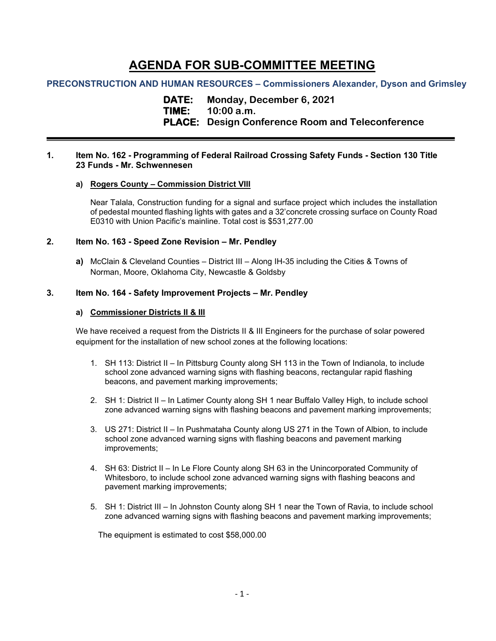# **AGENDA FOR SUB-COMMITTEE MEETING**

# **PRECONSTRUCTION AND HUMAN RESOURCES – Commissioners Alexander, Dyson and Grimsley**

**DATE: Monday, December 6, 2021 TIME: 10:00 a.m.**

**PLACE: Design Conference Room and Teleconference**

#### **1. Item No. 162 - Programming of Federal Railroad Crossing Safety Funds - Section 130 Title 23 Funds - Mr. Schwennesen**

## **a) Rogers County – Commission District VIII**

Near Talala, Construction funding for a signal and surface project which includes the installation of pedestal mounted flashing lights with gates and a 32'concrete crossing surface on County Road E0310 with Union Pacific's mainline. Total cost is \$531,277.00

## **2. Item No. 163 - Speed Zone Revision – Mr. Pendley**

**a)** McClain & Cleveland Counties – District III – Along IH-35 including the Cities & Towns of Norman, Moore, Oklahoma City, Newcastle & Goldsby

## **3. Item No. 164 - Safety Improvement Projects – Mr. Pendley**

## **a) Commissioner Districts II & III**

We have received a request from the Districts II & III Engineers for the purchase of solar powered equipment for the installation of new school zones at the following locations:

- 1. SH 113: District II In Pittsburg County along SH 113 in the Town of Indianola, to include school zone advanced warning signs with flashing beacons, rectangular rapid flashing beacons, and pavement marking improvements;
- 2. SH 1: District II In Latimer County along SH 1 near Buffalo Valley High, to include school zone advanced warning signs with flashing beacons and pavement marking improvements;
- 3. US 271: District II In Pushmataha County along US 271 in the Town of Albion, to include school zone advanced warning signs with flashing beacons and pavement marking improvements;
- 4. SH 63: District II In Le Flore County along SH 63 in the Unincorporated Community of Whitesboro, to include school zone advanced warning signs with flashing beacons and pavement marking improvements;
- 5. SH 1: District III In Johnston County along SH 1 near the Town of Ravia, to include school zone advanced warning signs with flashing beacons and pavement marking improvements;

The equipment is estimated to cost \$58,000.00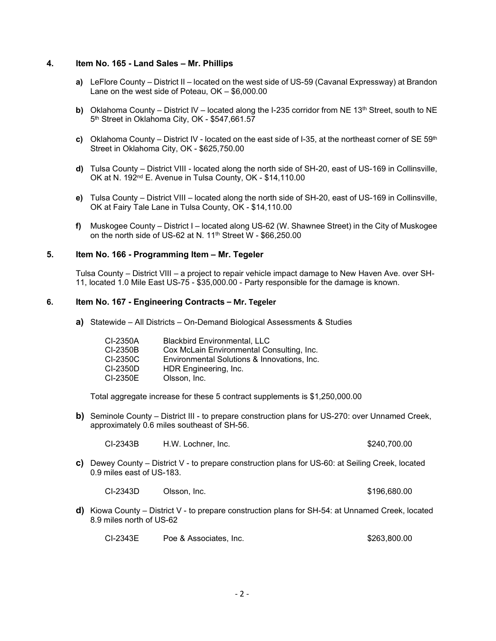## **4. Item No. 165 - Land Sales – Mr. Phillips**

- **a)** LeFlore County District II located on the west side of US-59 (Cavanal Expressway) at Brandon Lane on the west side of Poteau, OK – \$6,000.00
- **b)** Oklahoma County District IV located along the I-235 corridor from NE 13<sup>th</sup> Street, south to NE 5<sup>th</sup> Street in Oklahoma City, OK - \$547,661.57
- **c)** Oklahoma County District IV located on the east side of I-35, at the northeast corner of SE 59th Street in Oklahoma City, OK - \$625,750.00
- **d)** Tulsa County District VIII located along the north side of SH-20, east of US-169 in Collinsville, OK at N. 192<sup>nd</sup> E. Avenue in Tulsa County, OK - \$14,110.00
- **e)** Tulsa County District VIII located along the north side of SH-20, east of US-169 in Collinsville, OK at Fairy Tale Lane in Tulsa County, OK - \$14,110.00
- **f)** Muskogee County District I located along US-62 (W. Shawnee Street) in the City of Muskogee on the north side of US-62 at N.  $11<sup>th</sup>$  Street W - \$66,250.00

# **5. Item No. 166 - Programming Item – Mr. Tegeler**

Tulsa County – District VIII – a project to repair vehicle impact damage to New Haven Ave. over SH-11, located 1.0 Mile East US-75 - \$35,000.00 - Party responsible for the damage is known.

#### **6. Item No. 167 - Engineering Contracts – Mr. Tegeler**

**a)** Statewide – All Districts – On-Demand Biological Assessments & Studies

| CI-2350A | <b>Blackbird Environmental, LLC</b>         |
|----------|---------------------------------------------|
| CI-2350B | Cox McLain Environmental Consulting, Inc.   |
| CI-2350C | Environmental Solutions & Innovations, Inc. |
| CI-2350D | HDR Engineering, Inc.                       |
| CI-2350E | Olsson, Inc.                                |
|          |                                             |

Total aggregate increase for these 5 contract supplements is \$1,250,000.00

**b)** Seminole County – District III - to prepare construction plans for US-270: over Unnamed Creek, approximately 0.6 miles southeast of SH-56.

CI-2343B H.W. Lochner, Inc. \$240,700.00

**c)** Dewey County – District V - to prepare construction plans for US-60: at Seiling Creek, located 0.9 miles east of US-183.

CI-2343D Olsson, Inc. \$196,680.00

**d)** Kiowa County – District V - to prepare construction plans for SH-54: at Unnamed Creek, located 8.9 miles north of US-62

CI-2343E Poe & Associates, Inc. \$263,800.00